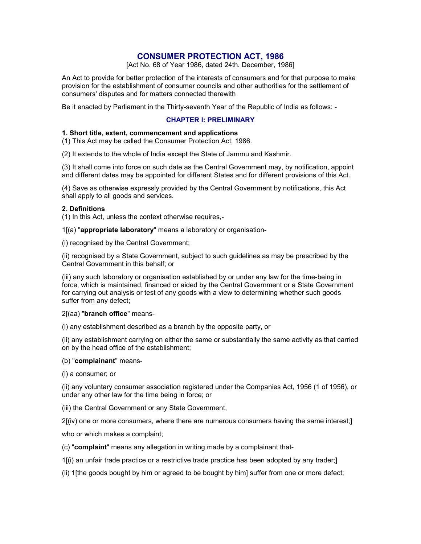# **CONSUMER PROTECTION ACT, 1986**

[Act No. 68 of Year 1986, dated 24th. December, 1986]

An Act to provide for better protection of the interests of consumers and for that purpose to make provision for the establishment of consumer councils and other authorities for the settlement of consumers' disputes and for matters connected therewith

Be it enacted by Parliament in the Thirty-seventh Year of the Republic of India as follows: -

#### **CHAPTER I: PRELIMINARY**

#### **1. Short title, extent, commencement and applications**

(1) This Act may be called the Consumer Protection Act, 1986.

(2) It extends to the whole of India except the State of Jammu and Kashmir.

(3) It shall come into force on such date as the Central Government may, by notification, appoint and different dates may be appointed for different States and for different provisions of this Act.

(4) Save as otherwise expressly provided by the Central Government by notifications, this Act shall apply to all goods and services.

#### **2. Definitions**

(1) In this Act, unless the context otherwise requires,-

1[(a) "**appropriate laboratory**" means a laboratory or organisation-

(i) recognised by the Central Government;

(ii) recognised by a State Government, subject to such guidelines as may be prescribed by the Central Government in this behalf; or

(iii) any such laboratory or organisation established by or under any law for the time-being in force, which is maintained, financed or aided by the Central Government or a State Government for carrying out analysis or test of any goods with a view to determining whether such goods suffer from any defect;

2[(aa) "**branch office**" means-

(i) any establishment described as a branch by the opposite party, or

(ii) any establishment carrying on either the same or substantially the same activity as that carried on by the head office of the establishment;

#### (b) "**complainant**" means-

(i) a consumer; or

(ii) any voluntary consumer association registered under the Companies Act, 1956 (1 of 1956), or under any other law for the time being in force; or

(iii) the Central Government or any State Government,

2[(iv) one or more consumers, where there are numerous consumers having the same interest;]

who or which makes a complaint;

- (c) "**complaint**" means any allegation in writing made by a complainant that-
- 1[(i) an unfair trade practice or a restrictive trade practice has been adopted by any trader;]
- (ii) 1[the goods bought by him or agreed to be bought by him] suffer from one or more defect;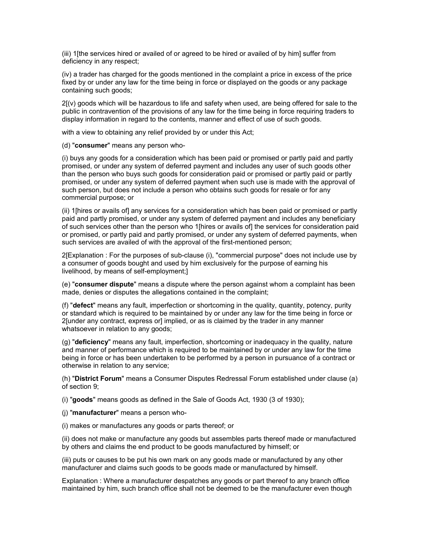(iii) 1[the services hired or availed of or agreed to be hired or availed of by him] suffer from deficiency in any respect;

(iv) a trader has charged for the goods mentioned in the complaint a price in excess of the price fixed by or under any law for the time being in force or displayed on the goods or any package containing such goods;

2[(v) goods which will be hazardous to life and safety when used, are being offered for sale to the public in contravention of the provisions of any law for the time being in force requiring traders to display information in regard to the contents, manner and effect of use of such goods.

with a view to obtaining any relief provided by or under this Act;

(d) "**consumer**" means any person who-

(i) buys any goods for a consideration which has been paid or promised or partly paid and partly promised, or under any system of deferred payment and includes any user of such goods other than the person who buys such goods for consideration paid or promised or partly paid or partly promised, or under any system of deferred payment when such use is made with the approval of such person, but does not include a person who obtains such goods for resale or for any commercial purpose; or

(ii) 1[hires or avails of] any services for a consideration which has been paid or promised or partly paid and partly promised, or under any system of deferred payment and includes any beneficiary of such services other than the person who 1[hires or avails of] the services for consideration paid or promised, or partly paid and partly promised, or under any system of deferred payments, when such services are availed of with the approval of the first-mentioned person;

2[Explanation : For the purposes of sub-clause (i), "commercial purpose" does not include use by a consumer of goods bought and used by him exclusively for the purpose of earning his livelihood, by means of self-employment;]

(e) "**consumer dispute**" means a dispute where the person against whom a complaint has been made, denies or disputes the allegations contained in the complaint;

(f) "**defect**" means any fault, imperfection or shortcoming in the quality, quantity, potency, purity or standard which is required to be maintained by or under any law for the time being in force or 2[under any contract, express or] implied, or as is claimed by the trader in any manner whatsoever in relation to any goods;

(g) "**deficiency**" means any fault, imperfection, shortcoming or inadequacy in the quality, nature and manner of performance which is required to be maintained by or under any law for the time being in force or has been undertaken to be performed by a person in pursuance of a contract or otherwise in relation to any service;

(h) "**District Forum**" means a Consumer Disputes Redressal Forum established under clause (a) of section 9;

(i) "**goods**" means goods as defined in the Sale of Goods Act, 1930 (3 of 1930);

- (j) "**manufacturer**" means a person who-
- (i) makes or manufactures any goods or parts thereof; or

(ii) does not make or manufacture any goods but assembles parts thereof made or manufactured by others and claims the end product to be goods manufactured by himself; or

(iii) puts or causes to be put his own mark on any goods made or manufactured by any other manufacturer and claims such goods to be goods made or manufactured by himself.

Explanation : Where a manufacturer despatches any goods or part thereof to any branch office maintained by him, such branch office shall not be deemed to be the manufacturer even though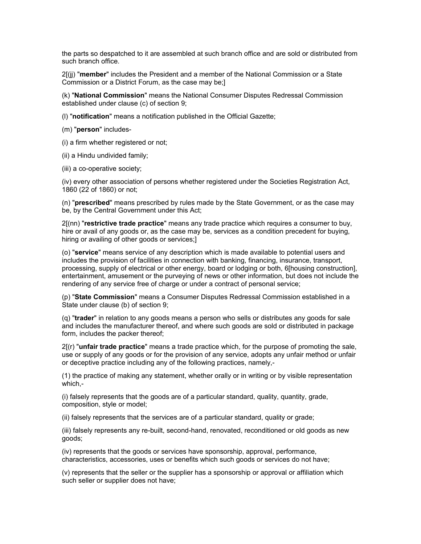the parts so despatched to it are assembled at such branch office and are sold or distributed from such branch office.

2[(jj) "**member**" includes the President and a member of the National Commission or a State Commission or a District Forum, as the case may be;]

(k) "**National Commission**" means the National Consumer Disputes Redressal Commission established under clause (c) of section 9;

(l) "**notification**" means a notification published in the Official Gazette;

(m) "**person**" includes-

(i) a firm whether registered or not;

(ii) a Hindu undivided family;

(iii) a co-operative society;

(iv) every other association of persons whether registered under the Societies Registration Act, 1860 (22 of 1860) or not;

(n) "**prescribed**" means prescribed by rules made by the State Government, or as the case may be, by the Central Government under this Act;

2[(nn) "**restrictive trade practice**" means any trade practice which requires a consumer to buy, hire or avail of any goods or, as the case may be, services as a condition precedent for buying, hiring or availing of other goods or services;]

(o) "**service**" means service of any description which is made available to potential users and includes the provision of facilities in connection with banking, financing, insurance, transport, processing, supply of electrical or other energy, board or lodging or both, 6[housing construction], entertainment, amusement or the purveying of news or other information, but does not include the rendering of any service free of charge or under a contract of personal service;

(p) "**State Commission**" means a Consumer Disputes Redressal Commission established in a State under clause (b) of section 9;

(q) "**trader**" in relation to any goods means a person who sells or distributes any goods for sale and includes the manufacturer thereof, and where such goods are sold or distributed in package form, includes the packer thereof;

2[(r) "**unfair trade practice**" means a trade practice which, for the purpose of promoting the sale, use or supply of any goods or for the provision of any service, adopts any unfair method or unfair or deceptive practice including any of the following practices, namely,-

(1) the practice of making any statement, whether orally or in writing or by visible representation which,-

(i) falsely represents that the goods are of a particular standard, quality, quantity, grade, composition, style or model;

(ii) falsely represents that the services are of a particular standard, quality or grade;

(iii) falsely represents any re-built, second-hand, renovated, reconditioned or old goods as new goods;

(iv) represents that the goods or services have sponsorship, approval, performance, characteristics, accessories, uses or benefits which such goods or services do not have;

(v) represents that the seller or the supplier has a sponsorship or approval or affiliation which such seller or supplier does not have;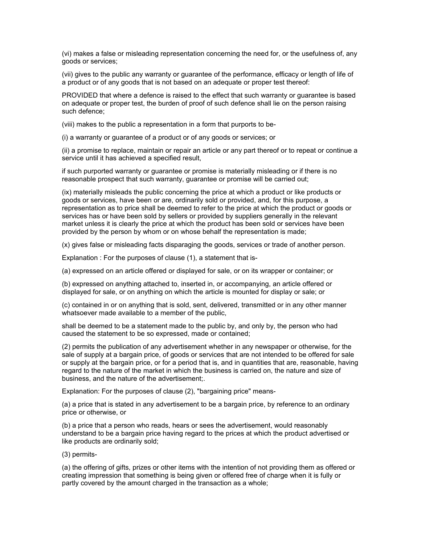(vi) makes a false or misleading representation concerning the need for, or the usefulness of, any goods or services;

(vii) gives to the public any warranty or guarantee of the performance, efficacy or length of life of a product or of any goods that is not based on an adequate or proper test thereof:

PROVIDED that where a defence is raised to the effect that such warranty or guarantee is based on adequate or proper test, the burden of proof of such defence shall lie on the person raising such defence;

(viii) makes to the public a representation in a form that purports to be-

(i) a warranty or guarantee of a product or of any goods or services; or

(ii) a promise to replace, maintain or repair an article or any part thereof or to repeat or continue a service until it has achieved a specified result,

if such purported warranty or guarantee or promise is materially misleading or if there is no reasonable prospect that such warranty, guarantee or promise will be carried out;

(ix) materially misleads the public concerning the price at which a product or like products or goods or services, have been or are, ordinarily sold or provided, and, for this purpose, a representation as to price shall be deemed to refer to the price at which the product or goods or services has or have been sold by sellers or provided by suppliers generally in the relevant market unless it is clearly the price at which the product has been sold or services have been provided by the person by whom or on whose behalf the representation is made;

(x) gives false or misleading facts disparaging the goods, services or trade of another person.

Explanation : For the purposes of clause (1), a statement that is-

(a) expressed on an article offered or displayed for sale, or on its wrapper or container; or

(b) expressed on anything attached to, inserted in, or accompanying, an article offered or displayed for sale, or on anything on which the article is mounted for display or sale; or

(c) contained in or on anything that is sold, sent, delivered, transmitted or in any other manner whatsoever made available to a member of the public,

shall be deemed to be a statement made to the public by, and only by, the person who had caused the statement to be so expressed, made or contained;

(2) permits the publication of any advertisement whether in any newspaper or otherwise, for the sale of supply at a bargain price, of goods or services that are not intended to be offered for sale or supply at the bargain price, or for a period that is, and in quantities that are, reasonable, having regard to the nature of the market in which the business is carried on, the nature and size of business, and the nature of the advertisement;.

Explanation: For the purposes of clause (2), "bargaining price" means-

(a) a price that is stated in any advertisement to be a bargain price, by reference to an ordinary price or otherwise, or

(b) a price that a person who reads, hears or sees the advertisement, would reasonably understand to be a bargain price having regard to the prices at which the product advertised or like products are ordinarily sold;

(3) permits-

(a) the offering of gifts, prizes or other items with the intention of not providing them as offered or creating impression that something is being given or offered free of charge when it is fully or partly covered by the amount charged in the transaction as a whole;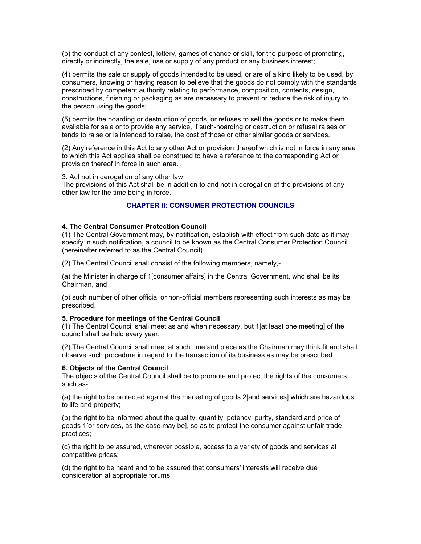(b) the conduct of any contest, lottery, games of chance or skill, for the purpose of promoting, directly or indirectly, the sale, use or supply of any product or any business interest;

(4) permits the sale or supply of goods intended to be used, or are of a kind likely to be used, by consumers, knowing or having reason to believe that the goods do not comply with the standards prescribed by competent authority relating to performance, composition, contents, design, constructions, finishing or packaging as are necessary to prevent or reduce the risk of injury to the person using the goods;

(5) permits the hoarding or destruction of goods, or refuses to sell the goods or to make them available for sale or to provide any service, if such-hoarding or destruction or refusal raises or tends to raise or is intended to raise, the cost of those or other similar goods or services.

(2) Any reference in this Act to any other Act or provision thereof which is not in force in any area to which this Act applies shall be construed to have a reference to the corresponding Act or provision thereof in force in such area.

3. Act not in derogation of any other law

The provisions of this Act shall be in addition to and not in derogation of the provisions of any other law for the time being in force.

# **CHAPTER II: CONSUMER PROTECTION COUNCILS**

#### **4. The Central Consumer Protection Council**

(1) The Central Government may, by notification, establish with effect from such date as it may specify in such notification, a council to be known as the Central Consumer Protection Council (hereinafter referred to as the Central Council).

(2) The Central Council shall consist of the following members, namely,-

(a) the Minister in charge of 1[consumer affairs] in the Central Government, who shall be its Chairman, and

(b) such number of other official or non-official members representing such interests as may be prescribed.

#### **5. Procedure for meetings of the Central Council**

(1) The Central Council shall meet as and when necessary, but 1[at least one meeting] of the council shall be held every year.

(2) The Central Council shall meet at such time and place as the Chairman may think fit and shall observe such procedure in regard to the transaction of its business as may be prescribed.

#### **6. Objects of the Central Council**

The objects of the Central Council shall be to promote and protect the rights of the consumers such as-

(a) the right to be protected against the marketing of goods 2[and services] which are hazardous to life and property;

(b) the right to be informed about the quality, quantity, potency, purity, standard and price of goods 1[or services, as the case may be], so as to protect the consumer against unfair trade practices;

(c) the right to be assured, wherever possible, access to a variety of goods and services at competitive prices;

(d) the right to be heard and to be assured that consumers' interests will receive due consideration at appropriate forums;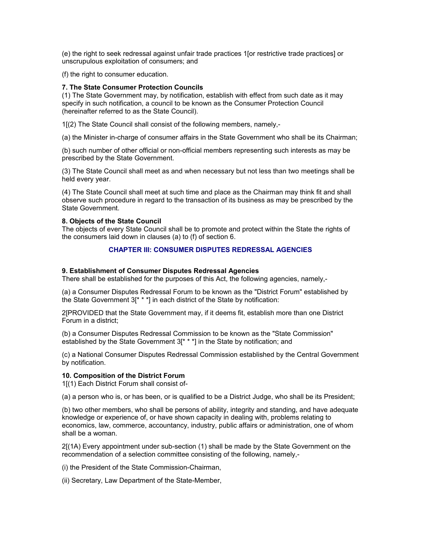(e) the right to seek redressal against unfair trade practices 1[or restrictive trade practices] or unscrupulous exploitation of consumers; and

(f) the right to consumer education.

#### **7. The State Consumer Protection Councils**

(1) The State Government may, by notification, establish with effect from such date as it may specify in such notification, a council to be known as the Consumer Protection Council (hereinafter referred to as the State Council).

1[(2) The State Council shall consist of the following members, namely,-

(a) the Minister in-charge of consumer affairs in the State Government who shall be its Chairman;

(b) such number of other official or non-official members representing such interests as may be prescribed by the State Government.

(3) The State Council shall meet as and when necessary but not less than two meetings shall be held every year.

(4) The State Council shall meet at such time and place as the Chairman may think fit and shall observe such procedure in regard to the transaction of its business as may be prescribed by the State Government.

#### **8. Objects of the State Council**

The objects of every State Council shall be to promote and protect within the State the rights of the consumers laid down in clauses (a) to (f) of section 6.

## **CHAPTER III: CONSUMER DISPUTES REDRESSAL AGENCIES**

#### **9. Establishment of Consumer Disputes Redressal Agencies**

There shall be established for the purposes of this Act, the following agencies, namely,-

(a) a Consumer Disputes Redressal Forum to be known as the "District Forum" established by the State Government  $3$ <sup>\*</sup> \* \*] in each district of the State by notification:

2[PROVIDED that the State Government may, if it deems fit, establish more than one District Forum in a district;

(b) a Consumer Disputes Redressal Commission to be known as the "State Commission" established by the State Government 3<sup>[\*</sup> \* \*] in the State by notification; and

(c) a National Consumer Disputes Redressal Commission established by the Central Government by notification.

#### **10. Composition of the District Forum**

1[(1) Each District Forum shall consist of-

(a) a person who is, or has been, or is qualified to be a District Judge, who shall be its President;

(b) two other members, who shall be persons of ability, integrity and standing, and have adequate knowledge or experience of, or have shown capacity in dealing with, problems relating to economics, law, commerce, accountancy, industry, public affairs or administration, one of whom shall be a woman.

2[(1A) Every appointment under sub-section (1) shall be made by the State Government on the recommendation of a selection committee consisting of the following, namely,-

(i) the President of the State Commission-Chairman,

(ii) Secretary, Law Department of the State-Member,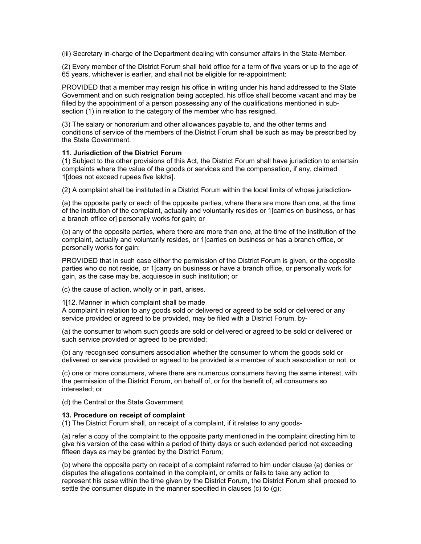(iii) Secretary in-charge of the Department dealing with consumer affairs in the State-Member.

(2) Every member of the District Forum shall hold office for a term of five years or up to the age of 65 years, whichever is earlier, and shall not be eligible for re-appointment:

PROVIDED that a member may resign his office in writing under his hand addressed to the State Government and on such resignation being accepted, his office shall become vacant and may be filled by the appointment of a person possessing any of the qualifications mentioned in subsection (1) in relation to the category of the member who has resigned.

(3) The salary or honorarium and other allowances payable to, and the other terms and conditions of service of the members of the District Forum shall be such as may be prescribed by the State Government.

#### **11. Jurisdiction of the District Forum**

(1) Subject to the other provisions of this Act, the District Forum shall have jurisdiction to entertain complaints where the value of the goods or services and the compensation, if any, claimed 1[does not exceed rupees five lakhs].

(2) A complaint shall be instituted in a District Forum within the local limits of whose jurisdiction-

(a) the opposite party or each of the opposite parties, where there are more than one, at the time of the institution of the complaint, actually and voluntarily resides or 1[carries on business, or has a branch office or] personally works for gain; or

(b) any of the opposite parties, where there are more than one, at the time of the institution of the complaint, actually and voluntarily resides, or 1[carries on business or has a branch office, or personally works for gain:

PROVIDED that in such case either the permission of the District Forum is given, or the opposite parties who do not reside, or 1[carry on business or have a branch office, or personally work for gain, as the case may be, acquiesce in such institution; or

(c) the cause of action, wholly or in part, arises.

1[12. Manner in which complaint shall be made

A complaint in relation to any goods sold or delivered or agreed to be sold or delivered or any service provided or agreed to be provided, may be filed with a District Forum, by-

(a) the consumer to whom such goods are sold or delivered or agreed to be sold or delivered or such service provided or agreed to be provided;

(b) any recognised consumers association whether the consumer to whom the goods sold or delivered or service provided or agreed to be provided is a member of such association or not; or

(c) one or more consumers, where there are numerous consumers having the same interest, with the permission of the District Forum, on behalf of, or for the benefit of, all consumers so interested; or

(d) the Central or the State Government.

#### **13. Procedure on receipt of complaint**

(1) The District Forum shall, on receipt of a complaint, if it relates to any goods-

(a) refer a copy of the complaint to the opposite party mentioned in the complaint directing him to give his version of the case within a period of thirty days or such extended period not exceeding fifteen days as may be granted by the District Forum;

(b) where the opposite party on receipt of a complaint referred to him under clause (a) denies or disputes the allegations contained in the complaint, or omits or fails to take any action to represent his case within the time given by the District Forum, the District Forum shall proceed to settle the consumer dispute in the manner specified in clauses (c) to (g);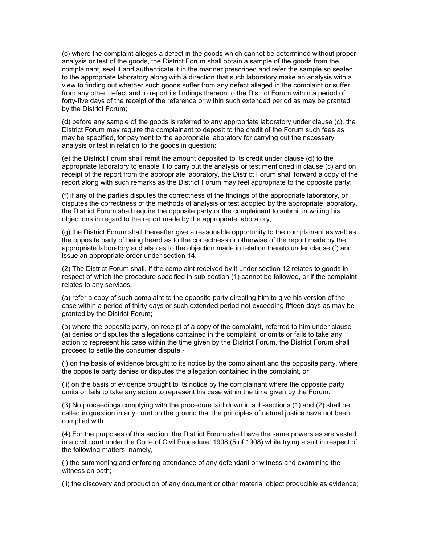(c) where the complaint alleges a defect in the goods which cannot be determined without proper analysis or test of the goods, the District Forum shall obtain a sample of the goods from the complainant, seal it and authenticate it in the manner prescribed and refer the sample so sealed to the appropriate laboratory along with a direction that such laboratory make an analysis with a view to finding out whether such goods suffer from any defect alleged in the complaint or suffer from any other defect and to report its findings thereon to the District Forum within a period of forty-five days of the receipt of the reference or within such extended period as may be granted by the District Forum;

(d) before any sample of the goods is referred to any appropriate laboratory under clause (c), the District Forum may require the complainant to deposit to the credit of the Forum such fees as may be specified, for payment to the appropriate laboratory for carrying out the necessary analysis or test in relation to the goods in question;

(e) the District Forum shall remit the amount deposited to its credit under clause (d) to the appropriate laboratory to enable it to carry out the analysis or test mentioned in clause (c) and on receipt of the report from the appropriate laboratory, the District Forum shall forward a copy of the report along with such remarks as the District Forum may feel appropriate to the opposite party;

(f) if any of the parties disputes the correctness of the findings of the appropriate laboratory, or disputes the correctness of the methods of analysis or test adopted by the appropriate laboratory, the District Forum shall require the opposite party or the complainant to submit in writing his objections in regard to the report made by the appropriate laboratory;

(g) the District Forum shall thereafter give a reasonable opportunity to the complainant as well as the opposite party of being heard as to the correctness or otherwise of the report made by the appropriate laboratory and also as to the objection made in relation thereto under clause (f) and issue an appropriate order under section 14.

(2) The District Forum shall, if the complaint received by it under section 12 relates to goods in respect of which the procedure specified in sub-section (1) cannot be followed, or if the complaint relates to any services,-

(a) refer a copy of such complaint to the opposite party directing him to give his version of the case within a period of thirty days or such extended period not exceeding fifteen days as may be granted by the District Forum;

(b) where the opposite party, on receipt of a copy of the complaint, referred to him under clause (a) denies or disputes the allegations contained in the complaint, or omits or fails to take any action to represent his case within the time given by the District Forum, the District Forum shall proceed to settle the consumer dispute,-

(i) on the basis of evidence brought to its notice by the complainant and the opposite party, where the opposite party denies or disputes the allegation contained in the complaint, or

(ii) on the basis of evidence brought to its notice by the complainant where the opposite party omits or fails to take any action to represent his case within the time given by the Forum.

(3) No proceedings complying with the procedure laid down in sub-sections (1) and (2) shall be called in question in any court on the ground that the principles of natural justice have not been complied with.

(4) For the purposes of this section, the District Forum shall have the same powers as are vested in a civil court under the Code of Civil Procedure, 1908 (5 of 1908) while trying a suit in respect of the following matters, namely,-

(i) the summoning and enforcing attendance of any defendant or witness and examining the witness on oath;

(ii) the discovery and production of any document or other material object producible as evidence;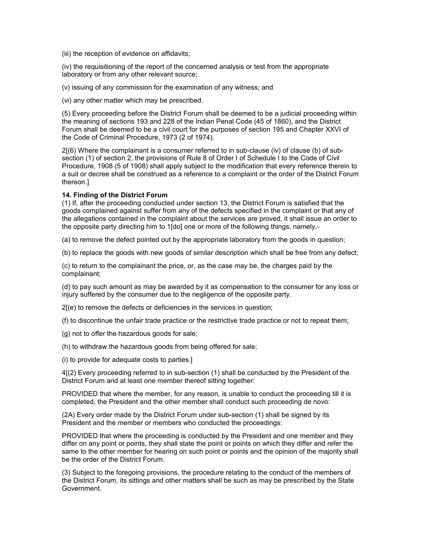(iii) the reception of evidence on affidavits;

(iv) the requisitioning of the report of the concerned analysis or test from the appropriate laboratory or from any other relevant source;

(v) issuing of any commission for the examination of any witness; and

(vi) any other matter which may be prescribed.

(5) Every proceeding before the District Forum shall be deemed to be a judicial proceeding within the meaning of sections 193 and 228 of the Indian Penal Code (45 of 1860), and the District Forum shall be deemed to be a civil court for the purposes of section 195 and Chapter XXVI of the Code of Criminal Procedure, 1973 (2 of 1974).

2[(6) Where the complainant is a consumer referred to in sub-clause (iv) of clause (b) of subsection (1) of section 2, the provisions of Rule 8 of Order I of Schedule I to the Code of Civil Procedure, 1908 (5 of 1908) shall apply subject to the modification that every reference therein to a suit or decree shall be construed as a reference to a complaint or the order of the District Forum thereon.]

## **14. Finding of the District Forum**

(1) If, after the proceeding conducted under section 13, the District Forum is satisfied that the goods complained against suffer from any of the defects specified in the complaint or that any of the allegations contained in the complaint about the services are proved, it shall issue an order to the opposite party directing him to 1[do] one or more of the following things, namely,-

(a) to remove the defect pointed out by the appropriate laboratory from the goods in question;

(b) to replace the goods with new goods of similar description which shall be free from any defect;

(c) to return to the complainant the price, or, as the case may be, the charges paid by the complainant;

(d) to pay such amount as may be awarded by it as compensation to the consumer for any loss or injury suffered by the consumer due to the negligence of the opposite party.

2[(e) to remove the defects or deficiencies in the services in question;

(f) to discontinue the unfair trade practice or the restrictive trade practice or not to repeat them;

(g) not to offer the hazardous goods for sale;

(h) to withdraw the hazardous goods from being offered for sale;

(i) to provide for adequate costs to parties.]

4[(2) Every proceeding referred to in sub-section (1) shall be conducted by the President of the District Forum and at least one member thereof sitting together:

PROVIDED that where the member, for any reason, is unable to conduct the proceeding till it is completed, the President and the other member shall conduct such proceeding de novo:

(2A) Every order made by the District Forum under sub-section (1) shall be signed by its President and the member or members who conducted the proceedings:

PROVIDED that where the proceeding is conducted by the President and one member and they differ on any point or points, they shall state the point or points on which they differ and refer the same to the other member for hearing on such point or points and the opinion of the majority shall be the order of the District Forum.

(3) Subject to the foregoing provisions, the procedure relating to the conduct of the members of the District Forum, its sittings and other matters shall be such as may be prescribed by the State Government.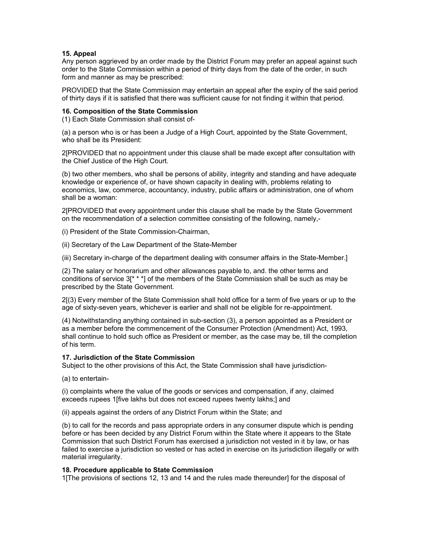#### **15. Appeal**

Any person aggrieved by an order made by the District Forum may prefer an appeal against such order to the State Commission within a period of thirty days from the date of the order, in such form and manner as may be prescribed:

PROVIDED that the State Commission may entertain an appeal after the expiry of the said period of thirty days if it is satisfied that there was sufficient cause for not finding it within that period.

#### **16. Composition of the State Commission**

(1) Each State Commission shall consist of-

(a) a person who is or has been a Judge of a High Court, appointed by the State Government, who shall be its President:

2[PROVIDED that no appointment under this clause shall be made except after consultation with the Chief Justice of the High Court.

(b) two other members, who shall be persons of ability, integrity and standing and have adequate knowledge or experience of, or have shown capacity in dealing with, problems relating to economics, law, commerce, accountancy, industry, public affairs or administration, one of whom shall be a woman:

2[PROVIDED that every appointment under this clause shall be made by the State Government on the recommendation of a selection committee consisting of the following, namely,-

(i) President of the State Commission-Chairman,

(ii) Secretary of the Law Department of the State-Member

(iii) Secretary in-charge of the department dealing with consumer affairs in the State-Member.]

(2) The salary or honorarium and other allowances payable to, and. the other terms and conditions of service 3[\* \* \*] of the members of the State Commission shall be such as may be prescribed by the State Government.

2[(3) Every member of the State Commission shall hold office for a term of five years or up to the age of sixty-seven years, whichever is earlier and shall not be eligible for re-appointment.

(4) Notwithstanding anything contained in sub-section (3), a person appointed as a President or as a member before the commencement of the Consumer Protection (Amendment) Act, 1993, shall continue to hold such office as President or member, as the case may be, till the completion of his term.

## **17. Jurisdiction of the State Commission**

Subject to the other provisions of this Act, the State Commission shall have jurisdiction-

(a) to entertain-

(i) complaints where the value of the goods or services and compensation, if any, claimed exceeds rupees 1[five lakhs but does not exceed rupees twenty lakhs;] and

(ii) appeals against the orders of any District Forum within the State; and

(b) to call for the records and pass appropriate orders in any consumer dispute which is pending before or has been decided by any District Forum within the State where it appears to the State Commission that such District Forum has exercised a jurisdiction not vested in it by law, or has failed to exercise a jurisdiction so vested or has acted in exercise on its jurisdiction illegally or with material irregularity.

## **18. Procedure applicable to State Commission**

1[The provisions of sections 12, 13 and 14 and the rules made thereunder] for the disposal of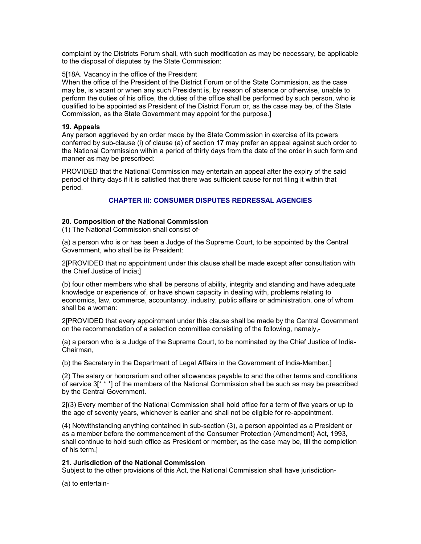complaint by the Districts Forum shall, with such modification as may be necessary, be applicable to the disposal of disputes by the State Commission:

#### 5[18A. Vacancy in the office of the President

When the office of the President of the District Forum or of the State Commission, as the case may be, is vacant or when any such President is, by reason of absence or otherwise, unable to perform the duties of his office, the duties of the office shall be performed by such person, who is qualified to be appointed as President of the District Forum or, as the case may be, of the State Commission, as the State Government may appoint for the purpose.]

#### **19. Appeals**

Any person aggrieved by an order made by the State Commission in exercise of its powers conferred by sub-clause (i) of clause (a) of section 17 may prefer an appeal against such order to the National Commission within a period of thirty days from the date of the order in such form and manner as may be prescribed:

PROVIDED that the National Commission may entertain an appeal after the expiry of the said period of thirty days if it is satisfied that there was sufficient cause for not filing it within that period.

# **CHAPTER III: CONSUMER DISPUTES REDRESSAL AGENCIES**

# **20. Composition of the National Commission**

(1) The National Commission shall consist of-

(a) a person who is or has been a Judge of the Supreme Court, to be appointed by the Central Government, who shall be its President:

2[PROVIDED that no appointment under this clause shall be made except after consultation with the Chief Justice of India;]

(b) four other members who shall be persons of ability, integrity and standing and have adequate knowledge or experience of, or have shown capacity in dealing with, problems relating to economics, law, commerce, accountancy, industry, public affairs or administration, one of whom shall be a woman:

2[PROVIDED that every appointment under this clause shall be made by the Central Government on the recommendation of a selection committee consisting of the following, namely,-

(a) a person who is a Judge of the Supreme Court, to be nominated by the Chief Justice of India-Chairman,

(b) the Secretary in the Department of Legal Affairs in the Government of India-Member.]

(2) The salary or honorarium and other allowances payable to and the other terms and conditions of service 3[\* \* \*] of the members of the National Commission shall be such as may be prescribed by the Central Government.

2[(3) Every member of the National Commission shall hold office for a term of five years or up to the age of seventy years, whichever is earlier and shall not be eligible for re-appointment.

(4) Notwithstanding anything contained in sub-section (3), a person appointed as a President or as a member before the commencement of the Consumer Protection (Amendment) Act, 1993, shall continue to hold such office as President or member, as the case may be, till the completion of his term.]

## **21. Jurisdiction of the National Commission**

Subject to the other provisions of this Act, the National Commission shall have jurisdiction-

(a) to entertain-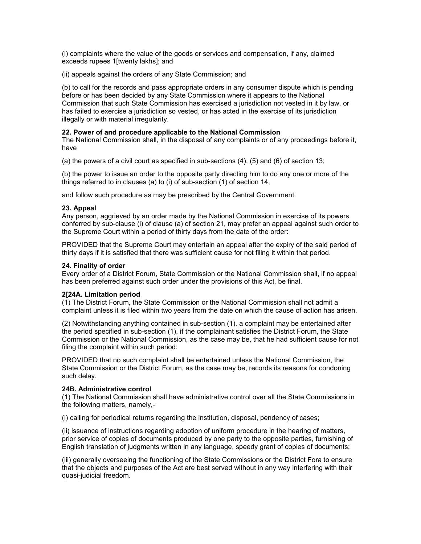(i) complaints where the value of the goods or services and cornpensation, if any, claimed exceeds rupees 1[twenty lakhs]; and

(ii) appeals against the orders of any State Commission; and

(b) to call for the records and pass appropriate orders in any consumer dispute which is pending before or has been decided by any State Commission where it appears to the National Commission that such State Commission has exercised a jurisdiction not vested in it by law, or has failed to exercise a jurisdiction so vested, or has acted in the exercise of its jurisdiction illegally or with material irregularity.

#### **22. Power of and procedure applicable to the National Commission**

The National Commission shall, in the disposal of any complaints or of any proceedings before it, have

(a) the powers of a civil court as specified in sub-sections  $(4)$ ,  $(5)$  and  $(6)$  of section 13;

(b) the power to issue an order to the opposite party directing him to do any one or more of the things referred to in clauses (a) to (i) of sub-section (1) of section 14,

and follow such procedure as may be prescribed by the Central Government.

#### **23. Appeal**

Any person, aggrieved by an order made by the National Commission in exercise of its powers conferred by sub-clause (i) of clause (a) of section 21, may prefer an appeal against such order to the Supreme Court within a period of thirty days from the date of the order:

PROVIDED that the Supreme Court may entertain an appeal after the expiry of the said period of thirty days if it is satisfied that there was sufficient cause for not filing it within that period.

#### **24. Finality of order**

Every order of a District Forum, State Commission or the National Commission shall, if no appeal has been preferred against such order under the provisions of this Act, be final.

## **2[24A. Limitation period**

(1) The District Forum, the State Commission or the National Commission shall not admit a complaint unless it is filed within two years from the date on which the cause of action has arisen.

(2) Notwithstanding anything contained in sub-section (1), a complaint may be entertained after the period specified in sub-section (1), if the complainant satisfies the District Forum, the State Commission or the National Commission, as the case may be, that he had sufficient cause for not filing the complaint within such period:

PROVIDED that no such complaint shall be entertained unless the National Commission, the State Commission or the District Forum, as the case may be, records its reasons for condoning such delay.

## **24B. Administrative control**

(1) The National Commission shall have administrative control over all the State Commissions in the following matters, namely,-

(i) calling for periodical returns regarding the institution, disposal, pendency of cases;

(ii) issuance of instructions regarding adoption of uniform procedure in the hearing of matters, prior service of copies of documents produced by one party to the opposite parties, furnishing of English translation of judgments written in any language, speedy grant of copies of documents;

(iii) generally overseeing the functioning of the State Commissions or the District Fora to ensure that the objects and purposes of the Act are best served without in any way interfering with their quasi-judicial freedom.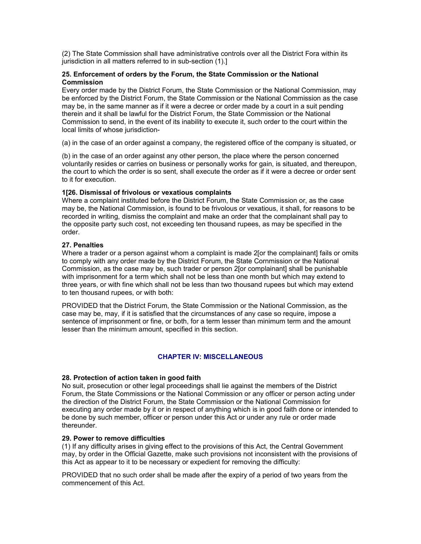(2) The State Commission shall have administrative controls over all the District Fora within its jurisdiction in all matters referred to in sub-section (1).

## **25. Enforcement of orders by the Forum, the State Commission or the National Commission**

Every order made by the District Forum, the State Commission or the National Commission, may be enforced by the District Forum, the State Commission or the National Commission as the case may be, in the same manner as if it were a decree or order made by a court in a suit pending therein and it shall be lawful for the District Forum, the State Commission or the National Commission to send, in the event of its inability to execute it, such order to the court within the local limits of whose jurisdiction-

(a) in the case of an order against a company, the registered office of the company is situated, or

(b) in the case of an order against any other person, the place where the person concerned voluntarily resides or carries on business or personally works for gain, is situated, and thereupon, the court to which the order is so sent, shall execute the order as if it were a decree or order sent to it for execution.

#### **1[26. Dismissal of frivolous or vexatious complaints**

Where a complaint instituted before the District Forum, the State Commission or, as the case may be, the National Commission, is found to be frivolous or vexatious, it shall, for reasons to be recorded in writing, dismiss the complaint and make an order that the complainant shall pay to the opposite party such cost, not exceeding ten thousand rupees, as may be specified in the order.

#### **27. Penalties**

Where a trader or a person against whom a complaint is made 2[or the complainant] fails or omits to comply with any order made by the District Forum, the State Cornmission or the National Commission, as the case may be, such trader or person 2[or complainant] shall be punishable with imprisonment for a term which shall not be less than one month but which may extend to three years, or with fine which shall not be less than two thousand rupees but which may extend to ten thousand rupees, or with both:

PROVIDED that the District Forum, the State Commission or the National Commission, as the case may be, may, if it is satisfied that the circumstances of any case so require, impose a sentence of imprisonment or fine, or both, for a term lesser than minimum term and the amount lesser than the minimum amount, specified in this section.

## **CHAPTER IV: MISCELLANEOUS**

#### **28. Protection of action taken in good faith**

No suit, prosecution or other legal proceedings shall lie against the members of the District Forum, the State Commissions or the National Commission or any officer or person acting under the direction of the District Forum, the State Commission or the National Commission for executing any order made by it or in respect of anything which is in good faith done or intended to be done by such member, officer or person under this Act or under any rule or order made thereunder.

#### **29. Power to remove difficulties**

(1) If any difficulty arises in giving effect to the provisions of this Act, the Central Government may, by order in the Official Gazette, make such provisions not inconsistent with the provisions of this Act as appear to it to be necessary or expedient for removing the difficulty:

PROVIDED that no such order shall be made after the expiry of a period of two years from the commencement of this Act.